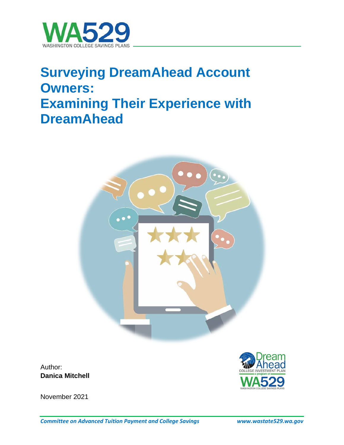

# **Surveying DreamAhead Account Owners: Examining Their Experience with DreamAhead**



Author: **Danica Mitchell**



November 2021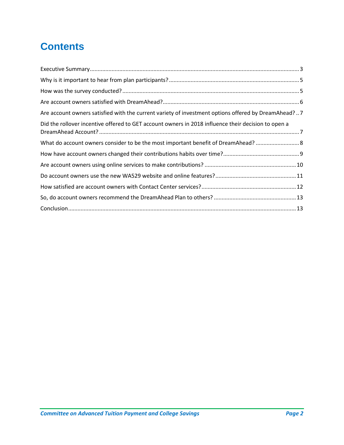# **Contents**

| Are account owners satisfied with the current variety of investment options offered by DreamAhead?7 |  |
|-----------------------------------------------------------------------------------------------------|--|
| Did the rollover incentive offered to GET account owners in 2018 influence their decision to open a |  |
| What do account owners consider to be the most important benefit of DreamAhead?  8                  |  |
|                                                                                                     |  |
|                                                                                                     |  |
|                                                                                                     |  |
|                                                                                                     |  |
|                                                                                                     |  |
|                                                                                                     |  |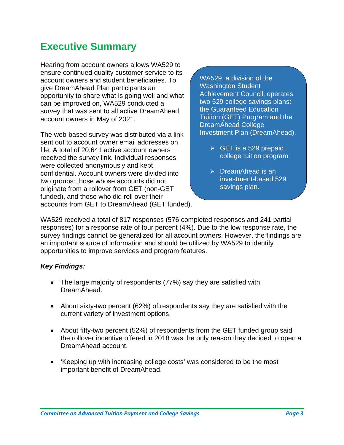## <span id="page-2-0"></span>**Executive Summary**

Hearing from account owners allows WA529 to ensure continued quality customer service to its account owners and student beneficiaries. To give DreamAhead Plan participants an opportunity to share what is going well and what can be improved on, WA529 conducted a survey that was sent to all active DreamAhead account owners in May of 2021.

The web-based survey was distributed via a link sent out to account owner email addresses on file. A total of 20,641 active account owners received the survey link. Individual responses were collected anonymously and kept confidential. Account owners were divided into two groups: those whose accounts did not originate from a rollover from GET (non-GET funded), and those who did roll over their accounts from GET to DreamAhead (GET funded). WA529, a division of the Washington Student Achievement Council, operates two 529 college savings plans: the Guaranteed Education Tuition (GET) Program and the DreamAhead College Investment Plan (DreamAhead).

- $\triangleright$  GET is a 529 prepaid college tuition program.
- $\triangleright$  DreamAhead is an investment-based 529 savings plan.

WA529 received a total of 817 responses (576 completed responses and 241 partial responses) for a response rate of four percent (4%). Due to the low response rate, the survey findings cannot be generalized for all account owners. However, the findings are an important source of information and should be utilized by WA529 to identify opportunities to improve services and program features.

#### *Key Findings:*

- The large majority of respondents (77%) say they are satisfied with DreamAhead.
- About sixty-two percent (62%) of respondents say they are satisfied with the current variety of investment options.
- About fifty-two percent (52%) of respondents from the GET funded group said the rollover incentive offered in 2018 was the only reason they decided to open a DreamAhead account.
- 'Keeping up with increasing college costs' was considered to be the most important benefit of DreamAhead.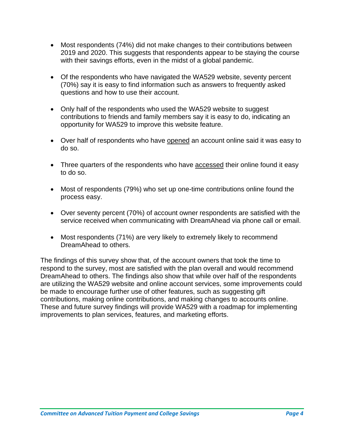- Most respondents (74%) did not make changes to their contributions between 2019 and 2020. This suggests that respondents appear to be staying the course with their savings efforts, even in the midst of a global pandemic.
- Of the respondents who have navigated the WA529 website, seventy percent (70%) say it is easy to find information such as answers to frequently asked questions and how to use their account.
- Only half of the respondents who used the WA529 website to suggest contributions to friends and family members say it is easy to do, indicating an opportunity for WA529 to improve this website feature.
- Over half of respondents who have opened an account online said it was easy to do so.
- Three quarters of the respondents who have accessed their online found it easy to do so.
- Most of respondents (79%) who set up one-time contributions online found the process easy.
- Over seventy percent (70%) of account owner respondents are satisfied with the service received when communicating with DreamAhead via phone call or email.
- Most respondents (71%) are very likely to extremely likely to recommend DreamAhead to others.

The findings of this survey show that, of the account owners that took the time to respond to the survey, most are satisfied with the plan overall and would recommend DreamAhead to others. The findings also show that while over half of the respondents are utilizing the WA529 website and online account services, some improvements could be made to encourage further use of other features, such as suggesting gift contributions, making online contributions, and making changes to accounts online. These and future survey findings will provide WA529 with a roadmap for implementing improvements to plan services, features, and marketing efforts.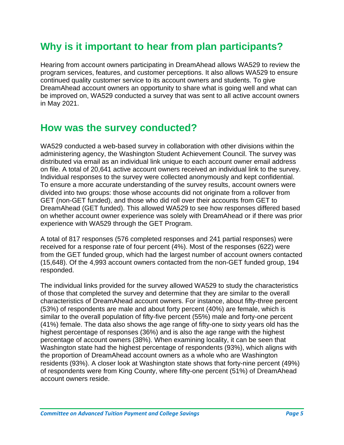# <span id="page-4-0"></span>**Why is it important to hear from plan participants?**

Hearing from account owners participating in DreamAhead allows WA529 to review the program services, features, and customer perceptions. It also allows WA529 to ensure continued quality customer service to its account owners and students. To give DreamAhead account owners an opportunity to share what is going well and what can be improved on, WA529 conducted a survey that was sent to all active account owners in May 2021.

### <span id="page-4-1"></span>**How was the survey conducted?**

WA529 conducted a web-based survey in collaboration with other divisions within the administering agency, the Washington Student Achievement Council. The survey was distributed via email as an individual link unique to each account owner email address on file. A total of 20,641 active account owners received an individual link to the survey. Individual responses to the survey were collected anonymously and kept confidential. To ensure a more accurate understanding of the survey results, account owners were divided into two groups: those whose accounts did not originate from a rollover from GET (non-GET funded), and those who did roll over their accounts from GET to DreamAhead (GET funded). This allowed WA529 to see how responses differed based on whether account owner experience was solely with DreamAhead or if there was prior experience with WA529 through the GET Program.

A total of 817 responses (576 completed responses and 241 partial responses) were received for a response rate of four percent (4%). Most of the responses (622) were from the GET funded group, which had the largest number of account owners contacted (15,648). Of the 4,993 account owners contacted from the non-GET funded group, 194 responded.

The individual links provided for the survey allowed WA529 to study the characteristics of those that completed the survey and determine that they are similar to the overall characteristics of DreamAhead account owners. For instance, about fifty-three percent (53%) of respondents are male and about forty percent (40%) are female, which is similar to the overall population of fifty-five percent (55%) male and forty-one percent (41%) female. The data also shows the age range of fifty-one to sixty years old has the highest percentage of responses (36%) and is also the age range with the highest percentage of account owners (38%). When examining locality, it can be seen that Washington state had the highest percentage of respondents (93%), which aligns with the proportion of DreamAhead account owners as a whole who are Washington residents (93%). A closer look at Washington state shows that forty-nine percent (49%) of respondents were from King County, where fifty-one percent (51%) of DreamAhead account owners reside.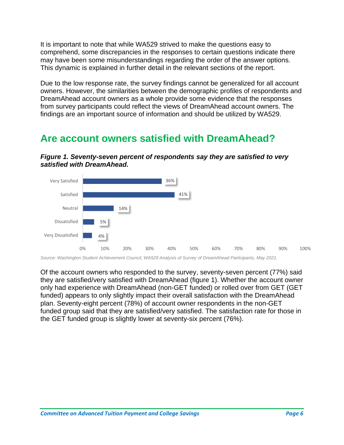It is important to note that while WA529 strived to make the questions easy to comprehend, some discrepancies in the responses to certain questions indicate there may have been some misunderstandings regarding the order of the answer options. This dynamic is explained in further detail in the relevant sections of the report.

Due to the low response rate, the survey findings cannot be generalized for all account owners. However, the similarities between the demographic profiles of respondents and DreamAhead account owners as a whole provide some evidence that the responses from survey participants could reflect the views of DreamAhead account owners. The findings are an important source of information and should be utilized by WA529.

### <span id="page-5-0"></span>**Are account owners satisfied with DreamAhead?**

*Figure 1. Seventy-seven percent of respondents say they are satisfied to very satisfied with DreamAhead.*



*Source: Washington Student Achievement Council, WA529 Analysis of Survey of DreamAhead Participants, May 2021.* 

Of the account owners who responded to the survey, seventy-seven percent (77%) said they are satisfied/very satisfied with DreamAhead (figure 1). Whether the account owner only had experience with DreamAhead (non-GET funded) or rolled over from GET (GET funded) appears to only slightly impact their overall satisfaction with the DreamAhead plan. Seventy-eight percent (78%) of account owner respondents in the non-GET funded group said that they are satisfied/very satisfied. The satisfaction rate for those in the GET funded group is slightly lower at seventy-six percent (76%).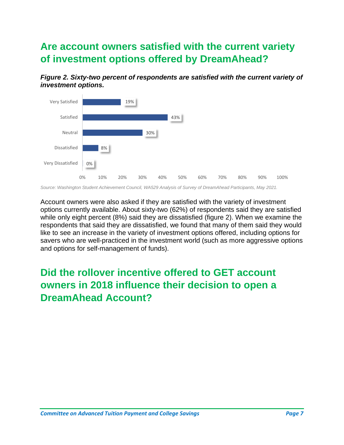# <span id="page-6-0"></span>**Are account owners satisfied with the current variety of investment options offered by DreamAhead?**





*Source: Washington Student Achievement Council, WA529 Analysis of Survey of DreamAhead Participants, May 2021.* 

Account owners were also asked if they are satisfied with the variety of investment options currently available. About sixty-two (62%) of respondents said they are satisfied while only eight percent (8%) said they are dissatisfied (figure 2). When we examine the respondents that said they are dissatisfied, we found that many of them said they would like to see an increase in the variety of investment options offered, including options for savers who are well-practiced in the investment world (such as more aggressive options and options for self-management of funds).

# <span id="page-6-1"></span>**Did the rollover incentive offered to GET account owners in 2018 influence their decision to open a DreamAhead Account?**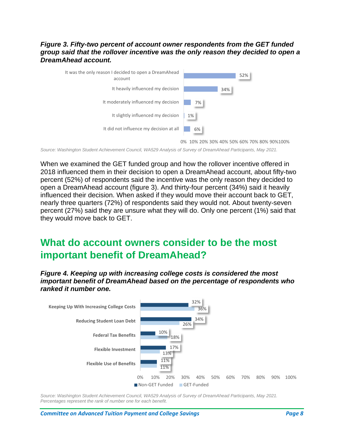#### *Figure 3. Fifty-two percent of account owner respondents from the GET funded group said that the rollover incentive was the only reason they decided to open a DreamAhead account.*



0% 10% 20% 30% 40% 50% 60% 70% 80% 90%100%

*Source: Washington Student Achievement Council, WA529 Analysis of Survey of DreamAhead Participants, May 2021.* 

When we examined the GET funded group and how the rollover incentive offered in 2018 influenced them in their decision to open a DreamAhead account, about fifty-two percent (52%) of respondents said the incentive was the only reason they decided to open a DreamAhead account (figure 3). And thirty-four percent (34%) said it heavily influenced their decision. When asked if they would move their account back to GET, nearly three quarters (72%) of respondents said they would not. About twenty-seven percent (27%) said they are unsure what they will do. Only one percent (1%) said that they would move back to GET.

### <span id="page-7-0"></span>**What do account owners consider to be the most important benefit of DreamAhead?**

*Figure 4. Keeping up with increasing college costs is considered the most important benefit of DreamAhead based on the percentage of respondents who ranked it number one.*



*Source: Washington Student Achievement Council, WA529 Analysis of Survey of DreamAhead Participants, May 2021. Percentages represent the rank of number one for each benefit.*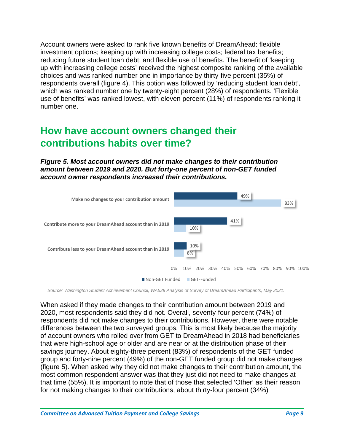Account owners were asked to rank five known benefits of DreamAhead: flexible investment options; keeping up with increasing college costs; federal tax benefits; reducing future student loan debt; and flexible use of benefits. The benefit of 'keeping up with increasing college costs' received the highest composite ranking of the available choices and was ranked number one in importance by thirty-five percent (35%) of respondents overall (figure 4). This option was followed by 'reducing student loan debt', which was ranked number one by twenty-eight percent (28%) of respondents. 'Flexible use of benefits' was ranked lowest, with eleven percent (11%) of respondents ranking it number one.

### <span id="page-8-0"></span>**How have account owners changed their contributions habits over time?**

*Figure 5. Most account owners did not make changes to their contribution amount between 2019 and 2020. But forty-one percent of non-GET funded account owner respondents increased their contributions.*



*Source: Washington Student Achievement Council, WA529 Analysis of Survey of DreamAhead Participants, May 2021.*

When asked if they made changes to their contribution amount between 2019 and 2020, most respondents said they did not. Overall, seventy-four percent (74%) of respondents did not make changes to their contributions. However, there were notable differences between the two surveyed groups. This is most likely because the majority of account owners who rolled over from GET to DreamAhead in 2018 had beneficiaries that were high-school age or older and are near or at the distribution phase of their savings journey. About eighty-three percent (83%) of respondents of the GET funded group and forty-nine percent (49%) of the non-GET funded group did not make changes (figure 5). When asked why they did not make changes to their contribution amount, the most common respondent answer was that they just did not need to make changes at that time (55%). It is important to note that of those that selected 'Other' as their reason for not making changes to their contributions, about thirty-four percent (34%)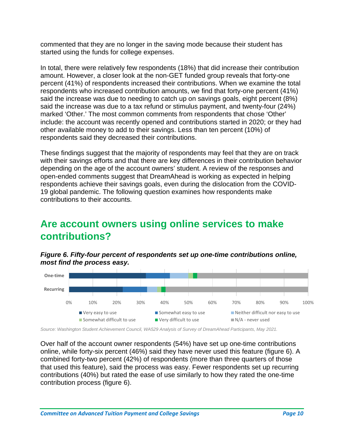commented that they are no longer in the saving mode because their student has started using the funds for college expenses.

In total, there were relatively few respondents (18%) that did increase their contribution amount. However, a closer look at the non-GET funded group reveals that forty-one percent (41%) of respondents increased their contributions. When we examine the total respondents who increased contribution amounts, we find that forty-one percent (41%) said the increase was due to needing to catch up on savings goals, eight percent (8%) said the increase was due to a tax refund or stimulus payment, and twenty-four (24%) marked 'Other.' The most common comments from respondents that chose 'Other' include: the account was recently opened and contributions started in 2020; or they had other available money to add to their savings. Less than ten percent (10%) of respondents said they decreased their contributions.

These findings suggest that the majority of respondents may feel that they are on track with their savings efforts and that there are key differences in their contribution behavior depending on the age of the account owners' student. A review of the responses and open-ended comments suggest that DreamAhead is working as expected in helping respondents achieve their savings goals, even during the dislocation from the COVID-19 global pandemic. The following question examines how respondents make contributions to their accounts.

# <span id="page-9-0"></span>**Are account owners using online services to make contributions?**

*Figure 6. Fifty-four percent of respondents set up one-time contributions online, most find the process easy.*



*Source: Washington Student Achievement Council, WA529 Analysis of Survey of DreamAhead Participants, May 2021.*

Over half of the account owner respondents (54%) have set up one-time contributions online, while forty-six percent (46%) said they have never used this feature (figure 6). A combined forty-two percent (42%) of respondents (more than three quarters of those that used this feature), said the process was easy. Fewer respondents set up recurring contributions (40%) but rated the ease of use similarly to how they rated the one-time contribution process (figure 6).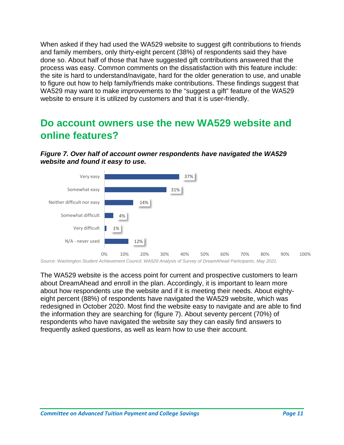When asked if they had used the WA529 website to suggest gift contributions to friends and family members, only thirty-eight percent (38%) of respondents said they have done so. About half of those that have suggested gift contributions answered that the process was easy. Common comments on the dissatisfaction with this feature include: the site is hard to understand/navigate, hard for the older generation to use, and unable to figure out how to help family/friends make contributions. These findings suggest that WA529 may want to make improvements to the "suggest a gift" feature of the WA529 website to ensure it is utilized by customers and that it is user-friendly.

### <span id="page-10-0"></span>**Do account owners use the new WA529 website and online features?**





*Source: Washington Student Achievement Council, WA529 Analysis of Survey of DreamAhead Participants, May 2021.*

The WA529 website is the access point for current and prospective customers to learn about DreamAhead and enroll in the plan. Accordingly, it is important to learn more about how respondents use the website and if it is meeting their needs. About eightyeight percent (88%) of respondents have navigated the WA529 website, which was redesigned in October 2020. Most find the website easy to navigate and are able to find the information they are searching for (figure 7). About seventy percent (70%) of respondents who have navigated the website say they can easily find answers to frequently asked questions, as well as learn how to use their account.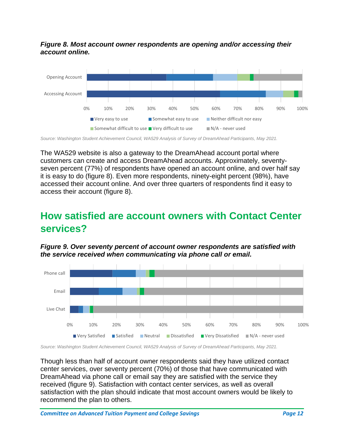*Figure 8. Most account owner respondents are opening and/or accessing their account online.*



*Source: Washington Student Achievement Council, WA529 Analysis of Survey of DreamAhead Participants, May 2021.*

The WA529 website is also a gateway to the DreamAhead account portal where customers can create and access DreamAhead accounts. Approximately, seventyseven percent (77%) of respondents have opened an account online, and over half say it is easy to do (figure 8). Even more respondents, ninety-eight percent (98%), have accessed their account online. And over three quarters of respondents find it easy to access their account (figure 8).

### <span id="page-11-0"></span>**How satisfied are account owners with Contact Center services?**

*Figure 9. Over seventy percent of account owner respondents are satisfied with the service received when communicating via phone call or email.* 



*Source: Washington Student Achievement Council, WA529 Analysis of Survey of DreamAhead Participants, May 2021.*

Though less than half of account owner respondents said they have utilized contact center services, over seventy percent (70%) of those that have communicated with DreamAhead via phone call or email say they are satisfied with the service they received (figure 9). Satisfaction with contact center services, as well as overall satisfaction with the plan should indicate that most account owners would be likely to recommend the plan to others.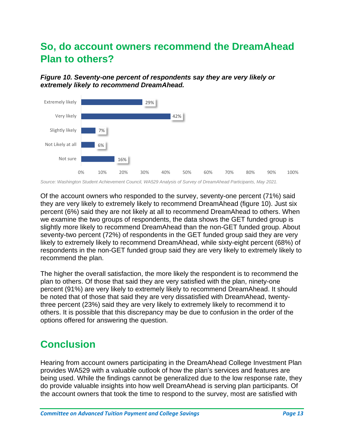# <span id="page-12-0"></span>**So, do account owners recommend the DreamAhead Plan to others?**

*Figure 10. Seventy-one percent of respondents say they are very likely or extremely likely to recommend DreamAhead.*



*Source: Washington Student Achievement Council, WA529 Analysis of Survey of DreamAhead Participants, May 2021.*

Of the account owners who responded to the survey, seventy-one percent (71%) said they are very likely to extremely likely to recommend DreamAhead (figure 10). Just six percent (6%) said they are not likely at all to recommend DreamAhead to others. When we examine the two groups of respondents, the data shows the GET funded group is slightly more likely to recommend DreamAhead than the non-GET funded group. About seventy-two percent (72%) of respondents in the GET funded group said they are very likely to extremely likely to recommend DreamAhead, while sixty-eight percent (68%) of respondents in the non-GET funded group said they are very likely to extremely likely to recommend the plan.

The higher the overall satisfaction, the more likely the respondent is to recommend the plan to others. Of those that said they are very satisfied with the plan, ninety-one percent (91%) are very likely to extremely likely to recommend DreamAhead. It should be noted that of those that said they are very dissatisfied with DreamAhead, twentythree percent (23%) said they are very likely to extremely likely to recommend it to others. It is possible that this discrepancy may be due to confusion in the order of the options offered for answering the question.

# <span id="page-12-1"></span>**Conclusion**

Hearing from account owners participating in the DreamAhead College Investment Plan provides WA529 with a valuable outlook of how the plan's services and features are being used. While the findings cannot be generalized due to the low response rate, they do provide valuable insights into how well DreamAhead is serving plan participants. Of the account owners that took the time to respond to the survey, most are satisfied with